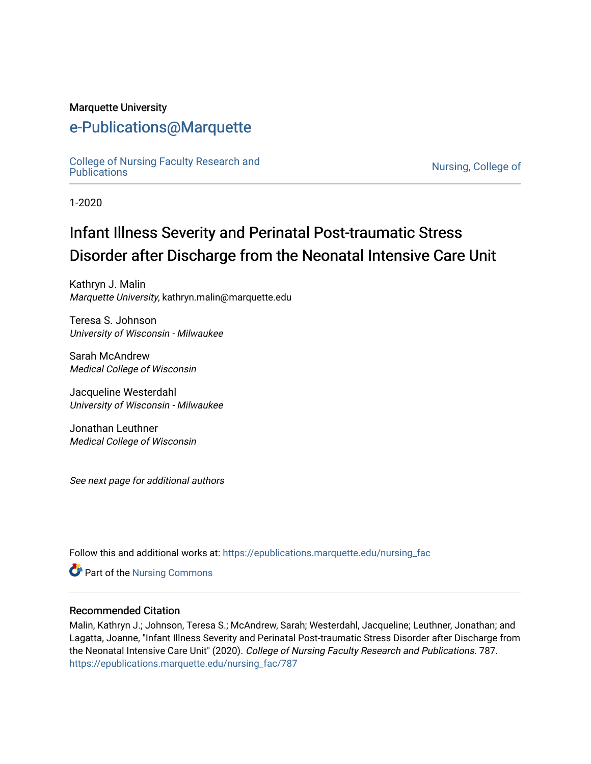#### Marquette University

# [e-Publications@Marquette](https://epublications.marquette.edu/)

[College of Nursing Faculty Research and](https://epublications.marquette.edu/nursing_fac)<br>Publications

Nursing, College of

1-2020

# Infant Illness Severity and Perinatal Post-traumatic Stress Disorder after Discharge from the Neonatal Intensive Care Unit

Kathryn J. Malin Marquette University, kathryn.malin@marquette.edu

Teresa S. Johnson University of Wisconsin - Milwaukee

Sarah McAndrew Medical College of Wisconsin

Jacqueline Westerdahl University of Wisconsin - Milwaukee

Jonathan Leuthner Medical College of Wisconsin

See next page for additional authors

Follow this and additional works at: [https://epublications.marquette.edu/nursing\\_fac](https://epublications.marquette.edu/nursing_fac?utm_source=epublications.marquette.edu%2Fnursing_fac%2F787&utm_medium=PDF&utm_campaign=PDFCoverPages)

Part of the [Nursing Commons](http://network.bepress.com/hgg/discipline/718?utm_source=epublications.marquette.edu%2Fnursing_fac%2F787&utm_medium=PDF&utm_campaign=PDFCoverPages) 

#### Recommended Citation

Malin, Kathryn J.; Johnson, Teresa S.; McAndrew, Sarah; Westerdahl, Jacqueline; Leuthner, Jonathan; and Lagatta, Joanne, "Infant Illness Severity and Perinatal Post-traumatic Stress Disorder after Discharge from the Neonatal Intensive Care Unit" (2020). College of Nursing Faculty Research and Publications. 787. [https://epublications.marquette.edu/nursing\\_fac/787](https://epublications.marquette.edu/nursing_fac/787?utm_source=epublications.marquette.edu%2Fnursing_fac%2F787&utm_medium=PDF&utm_campaign=PDFCoverPages)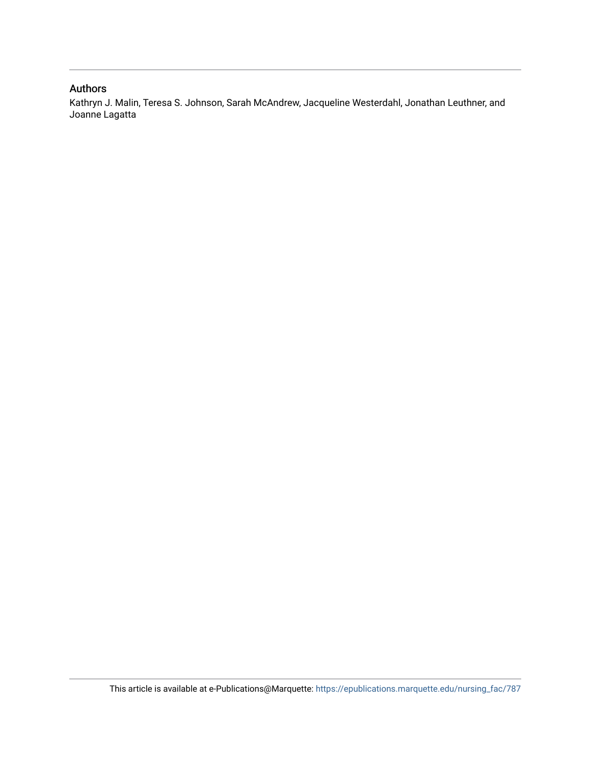#### Authors

Kathryn J. Malin, Teresa S. Johnson, Sarah McAndrew, Jacqueline Westerdahl, Jonathan Leuthner, and Joanne Lagatta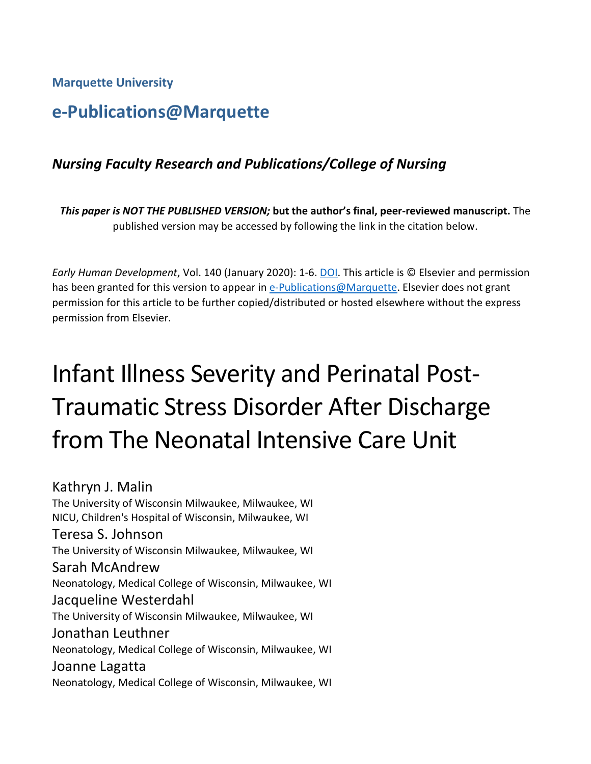**Marquette University**

# **e-Publications@Marquette**

# *Nursing Faculty Research and Publications/College of Nursing*

*This paper is NOT THE PUBLISHED VERSION;* **but the author's final, peer-reviewed manuscript.** The published version may be accessed by following the link in the citation below.

*Early Human Development*, Vol. 140 (January 2020): 1-6. [DOI.](https://doi.org/10.1016/j.earlhumdev.2019.104930) This article is © Elsevier and permission has been granted for this version to appear in [e-Publications@Marquette.](http://epublications.marquette.edu/) Elsevier does not grant permission for this article to be further copied/distributed or hosted elsewhere without the express permission from Elsevier.

# Infant Illness Severity and Perinatal Post-Traumatic Stress Disorder After Discharge from The Neonatal Intensive Care Unit

Kathryn J. Malin The University of Wisconsin Milwaukee, Milwaukee, WI NICU, Children's Hospital of Wisconsin, Milwaukee, WI Teresa S. Johnson The University of Wisconsin Milwaukee, Milwaukee, WI Sarah McAndrew Neonatology, Medical College of Wisconsin, Milwaukee, WI Jacqueline Westerdahl The University of Wisconsin Milwaukee, Milwaukee, WI Jonathan Leuthner Neonatology, Medical College of Wisconsin, Milwaukee, WI Joanne Lagatta Neonatology, Medical College of Wisconsin, Milwaukee, WI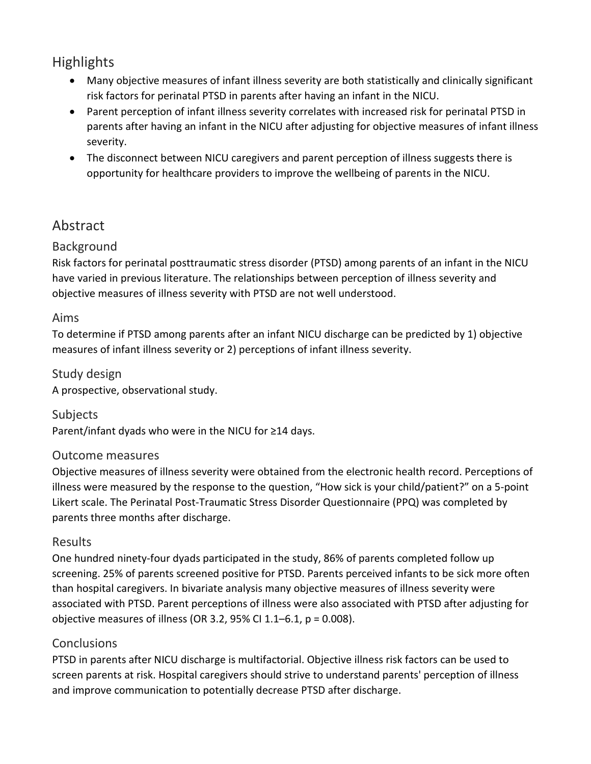# **Highlights**

- Many objective measures of infant illness severity are both statistically and clinically significant risk factors for perinatal PTSD in parents after having an infant in the NICU.
- Parent perception of infant illness severity correlates with increased risk for perinatal PTSD in parents after having an infant in the NICU after adjusting for objective measures of infant illness severity.
- The disconnect between NICU caregivers and parent perception of illness suggests there is opportunity for healthcare providers to improve the wellbeing of parents in the NICU.

# Abstract

#### Background

Risk factors for perinatal posttraumatic stress disorder (PTSD) among parents of an infant in the NICU have varied in previous literature. The relationships between perception of illness severity and objective measures of illness severity with PTSD are not well understood.

#### Aims

To determine if PTSD among parents after an infant NICU discharge can be predicted by 1) objective measures of infant illness severity or 2) perceptions of infant illness severity.

Study design A prospective, observational study.

Subjects Parent/infant dyads who were in the NICU for ≥14 days.

#### Outcome measures

Objective measures of illness severity were obtained from the electronic health record. Perceptions of illness were measured by the response to the question, "How sick is your child/patient?" on a 5-point Likert scale. The Perinatal Post-Traumatic Stress Disorder Questionnaire (PPQ) was completed by parents three months after discharge.

#### Results

One hundred ninety-four dyads participated in the study, 86% of parents completed follow up screening. 25% of parents screened positive for PTSD. Parents perceived infants to be sick more often than hospital caregivers. In bivariate analysis many objective measures of illness severity were associated with PTSD. Parent perceptions of illness were also associated with PTSD after adjusting for objective measures of illness (OR 3.2, 95% CI 1.1–6.1, p = 0.008).

#### **Conclusions**

PTSD in parents after NICU discharge is multifactorial. Objective illness risk factors can be used to screen parents at risk. Hospital caregivers should strive to understand parents' perception of illness and improve communication to potentially decrease PTSD after discharge.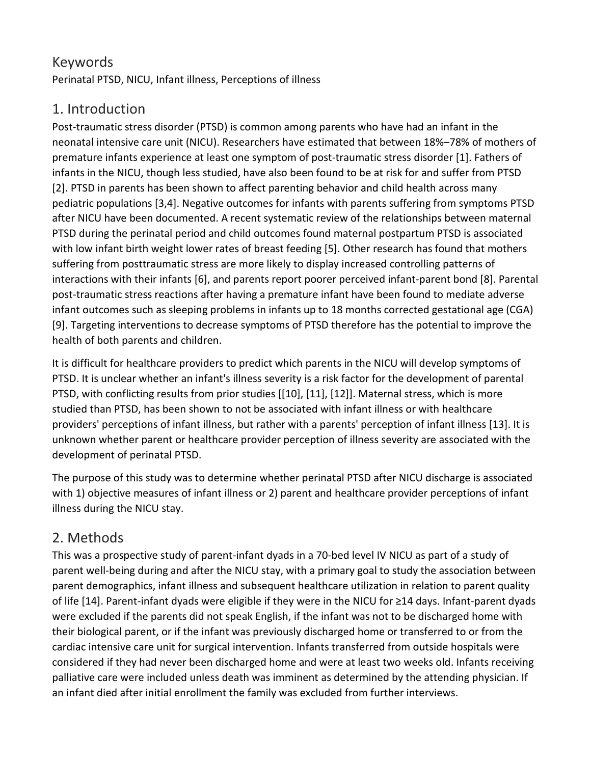# Keywords

Perinatal PTSD, NICU, Infant illness, Perceptions of illness

# 1. Introduction

Post-traumatic stress disorder (PTSD) is common among parents who have had an infant in the neonatal intensive care unit (NICU). Researchers have estimated that between 18%–78% of mothers of premature infants experience at least one symptom of post-traumatic stress disorder [1]. Fathers of infants in the NICU, though less studied, have also been found to be at risk for and suffer from PTSD [2]. PTSD in parents has been shown to affect parenting behavior and child health across many pediatric populations [3,4]. Negative outcomes for infants with parents suffering from symptoms PTSD after NICU have been documented. A recent systematic review of the relationships between maternal PTSD during the perinatal period and child outcomes found maternal postpartum PTSD is associated with low infant birth weight lower rates of breast feeding [5]. Other research has found that mothers suffering from posttraumatic stress are more likely to display increased controlling patterns of interactions with their infants [6], and parents report poorer perceived infant-parent bond [8]. Parental post-traumatic stress reactions after having a premature infant have been found to mediate adverse infant outcomes such as sleeping problems in infants up to 18 months corrected gestational age (CGA) [9]. Targeting interventions to decrease symptoms of PTSD therefore has the potential to improve the health of both parents and children.

It is difficult for healthcare providers to predict which parents in the NICU will develop symptoms of PTSD. It is unclear whether an infant's illness severity is a risk factor for the development of parental PTSD, with conflicting results from prior studies [[10], [11], [12]]. Maternal stress, which is more studied than PTSD, has been shown to not be associated with infant illness or with healthcare providers' perceptions of infant illness, but rather with a parents' perception of infant illness [13]. It is unknown whether parent or healthcare provider perception of illness severity are associated with the development of perinatal PTSD.

The purpose of this study was to determine whether perinatal PTSD after NICU discharge is associated with 1) objective measures of infant illness or 2) parent and healthcare provider perceptions of infant illness during the NICU stay.

# 2. Methods

This was a prospective study of parent-infant dyads in a 70-bed level IV NICU as part of a study of parent well-being during and after the NICU stay, with a primary goal to study the association between parent demographics, infant illness and subsequent healthcare utilization in relation to parent quality of life [14]. Parent-infant dyads were eligible if they were in the NICU for ≥14 days. Infant-parent dyads were excluded if the parents did not speak English, if the infant was not to be discharged home with their biological parent, or if the infant was previously discharged home or transferred to or from the cardiac intensive care unit for surgical intervention. Infants transferred from outside hospitals were considered if they had never been discharged home and were at least two weeks old. Infants receiving palliative care were included unless death was imminent as determined by the attending physician. If an infant died after initial enrollment the family was excluded from further interviews.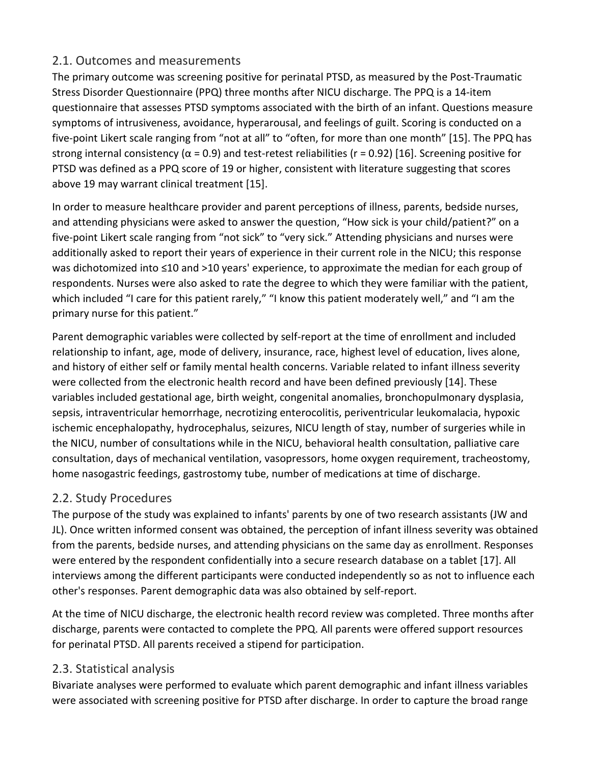#### 2.1. Outcomes and measurements

The primary outcome was screening positive for perinatal PTSD, as measured by the Post-Traumatic Stress Disorder Questionnaire (PPQ) three months after NICU discharge. The PPQ is a 14-item questionnaire that assesses PTSD symptoms associated with the birth of an infant. Questions measure symptoms of intrusiveness, avoidance, hyperarousal, and feelings of guilt. Scoring is conducted on a five-point Likert scale ranging from "not at all" to "often, for more than one month" [15]. The PPQ has strong internal consistency ( $\alpha$  = 0.9) and test-retest reliabilities (r = 0.92) [16]. Screening positive for PTSD was defined as a PPQ score of 19 or higher, consistent with literature suggesting that scores above 19 may warrant clinical treatment [15].

In order to measure healthcare provider and parent perceptions of illness, parents, bedside nurses, and attending physicians were asked to answer the question, "How sick is your child/patient?" on a five-point Likert scale ranging from "not sick" to "very sick." Attending physicians and nurses were additionally asked to report their years of experience in their current role in the NICU; this response was dichotomized into ≤10 and >10 years' experience, to approximate the median for each group of respondents. Nurses were also asked to rate the degree to which they were familiar with the patient, which included "I care for this patient rarely," "I know this patient moderately well," and "I am the primary nurse for this patient."

Parent demographic variables were collected by self-report at the time of enrollment and included relationship to infant, age, mode of delivery, insurance, race, highest level of education, lives alone, and history of either self or family mental health concerns. Variable related to infant illness severity were collected from the electronic health record and have been defined previously [14]. These variables included gestational age, birth weight, congenital anomalies, bronchopulmonary dysplasia, sepsis, intraventricular hemorrhage, necrotizing enterocolitis, periventricular leukomalacia, hypoxic ischemic encephalopathy, hydrocephalus, seizures, NICU length of stay, number of surgeries while in the NICU, number of consultations while in the NICU, behavioral health consultation, palliative care consultation, days of mechanical ventilation, vasopressors, home oxygen requirement, tracheostomy, home nasogastric feedings, gastrostomy tube, number of medications at time of discharge.

#### 2.2. Study Procedures

The purpose of the study was explained to infants' parents by one of two research assistants (JW and JL). Once written informed consent was obtained, the perception of infant illness severity was obtained from the parents, bedside nurses, and attending physicians on the same day as enrollment. Responses were entered by the respondent confidentially into a secure research database on a tablet [17]. All interviews among the different participants were conducted independently so as not to influence each other's responses. Parent demographic data was also obtained by self-report.

At the time of NICU discharge, the electronic health record review was completed. Three months after discharge, parents were contacted to complete the PPQ. All parents were offered support resources for perinatal PTSD. All parents received a stipend for participation.

#### 2.3. Statistical analysis

Bivariate analyses were performed to evaluate which parent demographic and infant illness variables were associated with screening positive for PTSD after discharge. In order to capture the broad range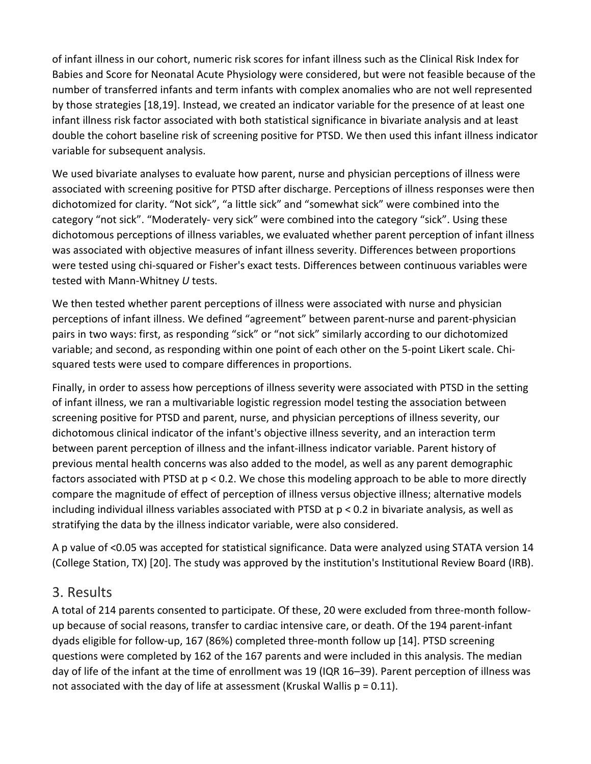of infant illness in our cohort, numeric risk scores for infant illness such as the Clinical Risk Index for Babies and Score for Neonatal Acute Physiology were considered, but were not feasible because of the number of transferred infants and term infants with complex anomalies who are not well represented by those strategies [18,19]. Instead, we created an indicator variable for the presence of at least one infant illness risk factor associated with both statistical significance in bivariate analysis and at least double the cohort baseline risk of screening positive for PTSD. We then used this infant illness indicator variable for subsequent analysis.

We used bivariate analyses to evaluate how parent, nurse and physician perceptions of illness were associated with screening positive for PTSD after discharge. Perceptions of illness responses were then dichotomized for clarity. "Not sick", "a little sick" and "somewhat sick" were combined into the category "not sick". "Moderately- very sick" were combined into the category "sick". Using these dichotomous perceptions of illness variables, we evaluated whether parent perception of infant illness was associated with objective measures of infant illness severity. Differences between proportions were tested using chi-squared or Fisher's exact tests. Differences between continuous variables were tested with Mann-Whitney *U* tests.

We then tested whether parent perceptions of illness were associated with nurse and physician perceptions of infant illness. We defined "agreement" between parent-nurse and parent-physician pairs in two ways: first, as responding "sick" or "not sick" similarly according to our dichotomized variable; and second, as responding within one point of each other on the 5-point Likert scale. Chisquared tests were used to compare differences in proportions.

Finally, in order to assess how perceptions of illness severity were associated with PTSD in the setting of infant illness, we ran a multivariable logistic regression model testing the association between screening positive for PTSD and parent, nurse, and physician perceptions of illness severity, our dichotomous clinical indicator of the infant's objective illness severity, and an interaction term between parent perception of illness and the infant-illness indicator variable. Parent history of previous mental health concerns was also added to the model, as well as any parent demographic factors associated with PTSD at p < 0.2. We chose this modeling approach to be able to more directly compare the magnitude of effect of perception of illness versus objective illness; alternative models including individual illness variables associated with PTSD at p < 0.2 in bivariate analysis, as well as stratifying the data by the illness indicator variable, were also considered.

A p value of <0.05 was accepted for statistical significance. Data were analyzed using STATA version 14 (College Station, TX) [20]. The study was approved by the institution's Institutional Review Board (IRB).

## 3. Results

A total of 214 parents consented to participate. Of these, 20 were excluded from three-month followup because of social reasons, transfer to cardiac intensive care, or death. Of the 194 parent-infant dyads eligible for follow-up, 167 (86%) completed three-month follow up [14]. PTSD screening questions were completed by 162 of the 167 parents and were included in this analysis. The median day of life of the infant at the time of enrollment was 19 (IQR 16–39). Parent perception of illness was not associated with the day of life at assessment (Kruskal Wallis  $p = 0.11$ ).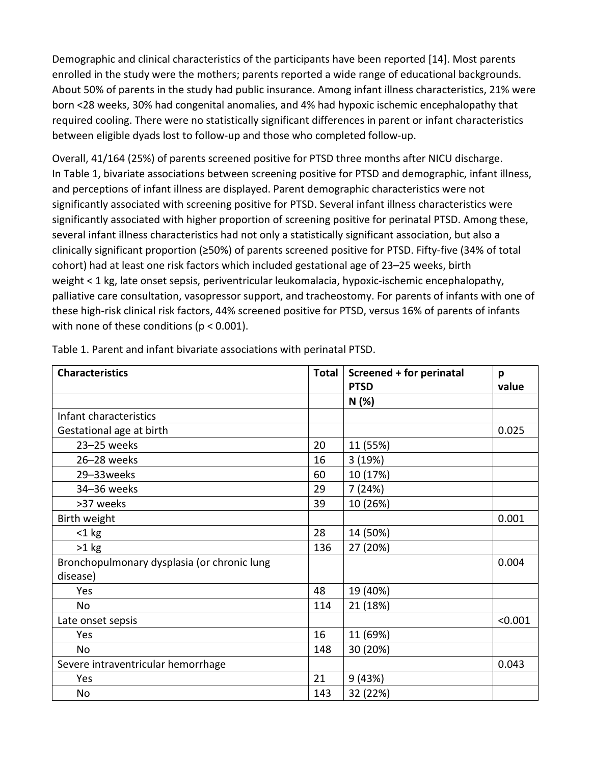Demographic and clinical characteristics of the participants have been reported [14]. Most parents enrolled in the study were the mothers; parents reported a wide range of educational backgrounds. About 50% of parents in the study had public insurance. Among infant illness characteristics, 21% were born <28 weeks, 30% had congenital anomalies, and 4% had hypoxic ischemic encephalopathy that required cooling. There were no statistically significant differences in parent or infant characteristics between eligible dyads lost to follow-up and those who completed follow-up.

Overall, 41/164 (25%) of parents screened positive for PTSD three months after NICU discharge. In Table 1, bivariate associations between screening positive for PTSD and demographic, infant illness, and perceptions of infant illness are displayed. Parent demographic characteristics were not significantly associated with screening positive for PTSD. Several infant illness characteristics were significantly associated with higher proportion of screening positive for perinatal PTSD. Among these, several infant illness characteristics had not only a statistically significant association, but also a clinically significant proportion (≥50%) of parents screened positive for PTSD. Fifty-five (34% of total cohort) had at least one risk factors which included gestational age of 23–25 weeks, birth weight < 1 kg, late onset sepsis, periventricular leukomalacia, hypoxic-ischemic encephalopathy, palliative care consultation, vasopressor support, and tracheostomy. For parents of infants with one of these high-risk clinical risk factors, 44% screened positive for PTSD, versus 16% of parents of infants with none of these conditions (p < 0.001).

| <b>Characteristics</b>                      | Total | Screened + for perinatal | p       |
|---------------------------------------------|-------|--------------------------|---------|
|                                             |       | <b>PTSD</b>              | value   |
|                                             |       | N(%)                     |         |
| Infant characteristics                      |       |                          |         |
| Gestational age at birth                    |       |                          | 0.025   |
| 23-25 weeks                                 | 20    | 11 (55%)                 |         |
| 26-28 weeks                                 | 16    | 3(19%)                   |         |
| 29-33weeks                                  | 60    | 10 (17%)                 |         |
| 34-36 weeks                                 | 29    | 7(24%)                   |         |
| >37 weeks                                   | 39    | 10 (26%)                 |         |
| Birth weight                                |       |                          | 0.001   |
| $<$ 1 kg                                    | 28    | 14 (50%)                 |         |
| $>1$ kg                                     | 136   | 27 (20%)                 |         |
| Bronchopulmonary dysplasia (or chronic lung |       |                          | 0.004   |
| disease)                                    |       |                          |         |
| Yes                                         | 48    | 19 (40%)                 |         |
| No                                          | 114   | 21 (18%)                 |         |
| Late onset sepsis                           |       |                          | < 0.001 |
| Yes                                         | 16    | 11 (69%)                 |         |
| <b>No</b>                                   | 148   | 30 (20%)                 |         |
| Severe intraventricular hemorrhage          |       |                          | 0.043   |
| Yes                                         | 21    | 9(43%)                   |         |
| No                                          | 143   | 32 (22%)                 |         |

Table 1. Parent and infant bivariate associations with perinatal PTSD.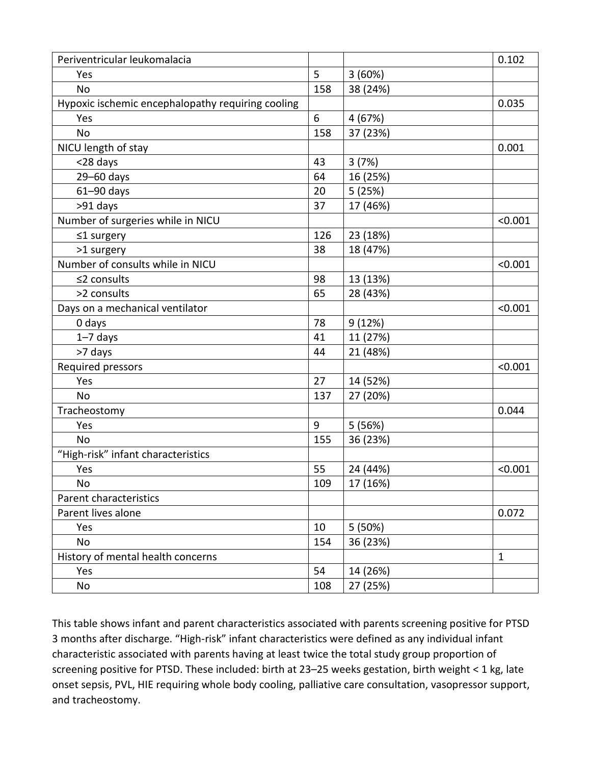| Periventricular leukomalacia                      |       |          | 0.102        |
|---------------------------------------------------|-------|----------|--------------|
| Yes                                               | 5     | 3(60%)   |              |
| <b>No</b>                                         | 158   | 38 (24%) |              |
| Hypoxic ischemic encephalopathy requiring cooling |       |          | 0.035        |
| Yes                                               | $6\,$ | 4 (67%)  |              |
| <b>No</b>                                         | 158   | 37 (23%) |              |
| NICU length of stay                               |       |          | 0.001        |
| <28 days                                          | 43    | 3(7%)    |              |
| 29-60 days                                        | 64    | 16 (25%) |              |
| $61 - 90$ days                                    | 20    | 5(25%)   |              |
| >91 days                                          | 37    | 17 (46%) |              |
| Number of surgeries while in NICU                 |       |          | < 0.001      |
| $\leq$ 1 surgery                                  | 126   | 23 (18%) |              |
| >1 surgery                                        | 38    | 18 (47%) |              |
| Number of consults while in NICU                  |       |          | < 0.001      |
| ≤2 consults                                       | 98    | 13 (13%) |              |
| >2 consults                                       | 65    | 28 (43%) |              |
| Days on a mechanical ventilator                   |       |          | < 0.001      |
| 0 days                                            | 78    | 9(12%)   |              |
| $1 - 7$ days                                      | 41    | 11 (27%) |              |
| >7 days                                           | 44    | 21 (48%) |              |
| Required pressors                                 |       |          | < 0.001      |
| Yes                                               | 27    | 14 (52%) |              |
| <b>No</b>                                         | 137   | 27 (20%) |              |
| Tracheostomy                                      |       |          | 0.044        |
| Yes                                               | 9     | 5(56%)   |              |
| <b>No</b>                                         | 155   | 36 (23%) |              |
| "High-risk" infant characteristics                |       |          |              |
| Yes                                               | 55    | 24 (44%) | < 0.001      |
| No                                                | 109   | 17 (16%) |              |
| Parent characteristics                            |       |          |              |
| Parent lives alone                                |       |          | 0.072        |
| Yes                                               | 10    | 5(50%)   |              |
| No                                                | 154   | 36 (23%) |              |
| History of mental health concerns                 |       |          | $\mathbf{1}$ |
| Yes                                               | 54    | 14 (26%) |              |
| No                                                | 108   | 27 (25%) |              |

This table shows infant and parent characteristics associated with parents screening positive for PTSD 3 months after discharge. "High-risk" infant characteristics were defined as any individual infant characteristic associated with parents having at least twice the total study group proportion of screening positive for PTSD. These included: birth at 23–25 weeks gestation, birth weight < 1 kg, late onset sepsis, PVL, HIE requiring whole body cooling, palliative care consultation, vasopressor support, and tracheostomy.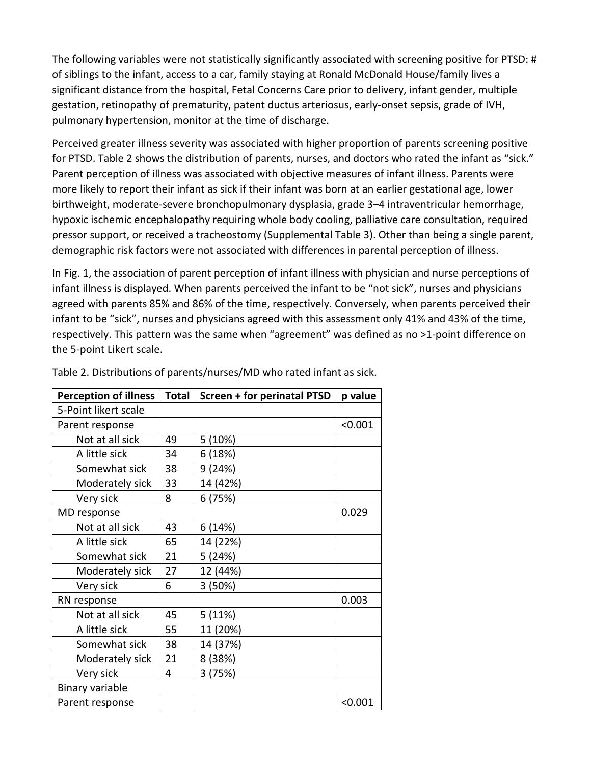The following variables were not statistically significantly associated with screening positive for PTSD: # of siblings to the infant, access to a car, family staying at Ronald McDonald House/family lives a significant distance from the hospital, Fetal Concerns Care prior to delivery, infant gender, multiple gestation, retinopathy of prematurity, patent ductus arteriosus, early-onset sepsis, grade of IVH, pulmonary hypertension, monitor at the time of discharge.

Perceived greater illness severity was associated with higher proportion of parents screening positive for PTSD. Table 2 shows the distribution of parents, nurses, and doctors who rated the infant as "sick." Parent perception of illness was associated with objective measures of infant illness. Parents were more likely to report their infant as sick if their infant was born at an earlier gestational age, lower birthweight, moderate-severe bronchopulmonary dysplasia, grade 3–4 intraventricular hemorrhage, hypoxic ischemic encephalopathy requiring whole body cooling, palliative care consultation, required pressor support, or received a tracheostomy (Supplemental Table 3). Other than being a single parent, demographic risk factors were not associated with differences in parental perception of illness.

In Fig. 1, the association of parent perception of infant illness with physician and nurse perceptions of infant illness is displayed. When parents perceived the infant to be "not sick", nurses and physicians agreed with parents 85% and 86% of the time, respectively. Conversely, when parents perceived their infant to be "sick", nurses and physicians agreed with this assessment only 41% and 43% of the time, respectively. This pattern was the same when "agreement" was defined as no >1-point difference on the 5-point Likert scale.

| <b>Perception of illness</b> | <b>Total</b> | <b>Screen + for perinatal PTSD</b> | p value |
|------------------------------|--------------|------------------------------------|---------|
| 5-Point likert scale         |              |                                    |         |
| Parent response              |              |                                    | < 0.001 |
| Not at all sick              | 49           | 5(10%)                             |         |
| A little sick                | 34           | 6(18%)                             |         |
| Somewhat sick                | 38           | 9 (24%)                            |         |
| Moderately sick              | 33           | 14 (42%)                           |         |
| Very sick                    | 8            | 6 (75%)                            |         |
| MD response                  |              |                                    | 0.029   |
| Not at all sick              | 43           | 6 (14%)                            |         |
| A little sick                | 65           | 14 (22%)                           |         |
| Somewhat sick                | 21           | 5 (24%)                            |         |
| Moderately sick              | 27           | 12 (44%)                           |         |
| Very sick                    | 6            | 3 (50%)                            |         |
| RN response                  |              |                                    | 0.003   |
| Not at all sick              | 45           | 5(11%)                             |         |
| A little sick                | 55           | 11 (20%)                           |         |
| Somewhat sick                | 38           | 14 (37%)                           |         |
| Moderately sick              | 21           | 8 (38%)                            |         |
| Very sick                    | 4            | 3(75%)                             |         |
| Binary variable              |              |                                    |         |
| Parent response              |              |                                    | < 0.001 |

Table 2. Distributions of parents/nurses/MD who rated infant as sick.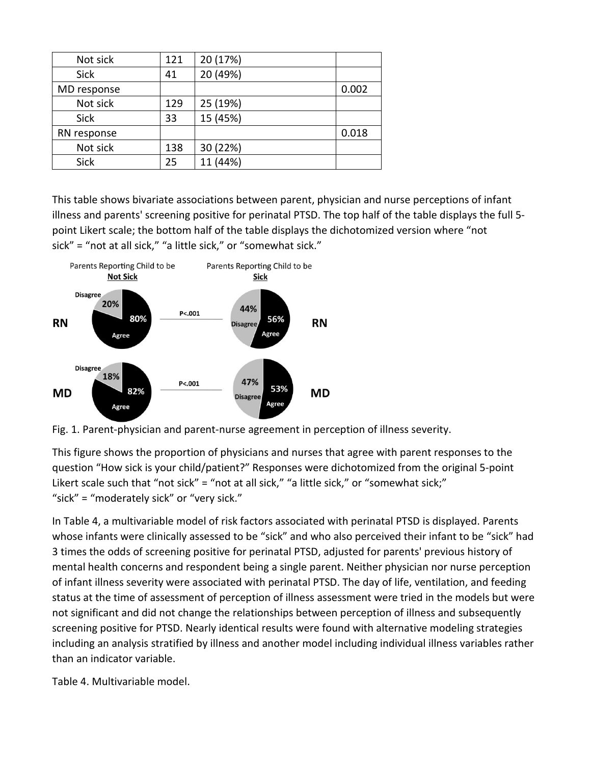| Not sick    | 121 | 20 (17%) |       |
|-------------|-----|----------|-------|
| <b>Sick</b> | 41  | 20 (49%) |       |
| MD response |     |          | 0.002 |
| Not sick    | 129 | 25 (19%) |       |
| <b>Sick</b> | 33  | 15 (45%) |       |
| RN response |     |          | 0.018 |
| Not sick    | 138 | 30 (22%) |       |
| Sick        | 25  | (44%)    |       |

This table shows bivariate associations between parent, physician and nurse perceptions of infant illness and parents' screening positive for perinatal PTSD. The top half of the table displays the full 5 point Likert scale; the bottom half of the table displays the dichotomized version where "not sick" = "not at all sick," "a little sick," or "somewhat sick."



Fig. 1. Parent-physician and parent-nurse agreement in perception of illness severity.

This figure shows the proportion of physicians and nurses that agree with parent responses to the question "How sick is your child/patient?" Responses were dichotomized from the original 5-point Likert scale such that "not sick" = "not at all sick," "a little sick," or "somewhat sick;" "sick" = "moderately sick" or "very sick."

In Table 4, a multivariable model of risk factors associated with perinatal PTSD is displayed. Parents whose infants were clinically assessed to be "sick" and who also perceived their infant to be "sick" had 3 times the odds of screening positive for perinatal PTSD, adjusted for parents' previous history of mental health concerns and respondent being a single parent. Neither physician nor nurse perception of infant illness severity were associated with perinatal PTSD. The day of life, ventilation, and feeding status at the time of assessment of perception of illness assessment were tried in the models but were not significant and did not change the relationships between perception of illness and subsequently screening positive for PTSD. Nearly identical results were found with alternative modeling strategies including an analysis stratified by illness and another model including individual illness variables rather than an indicator variable.

Table 4. Multivariable model.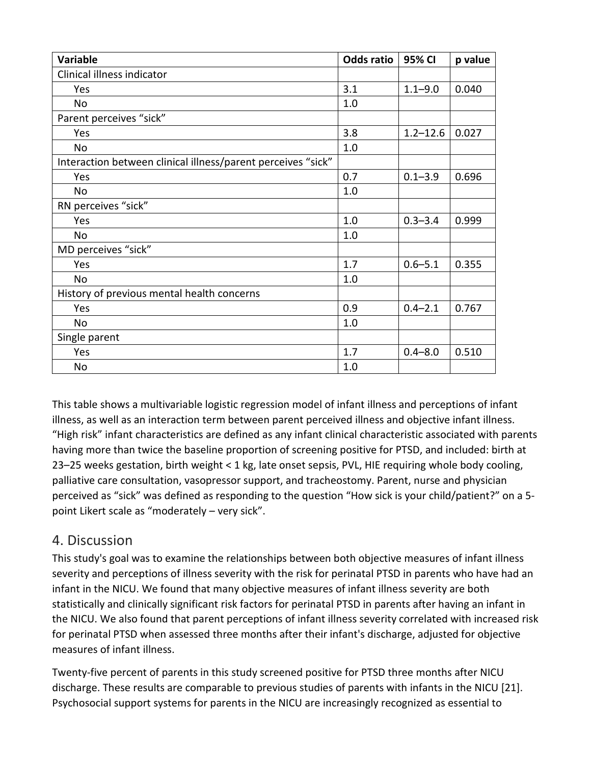| <b>Variable</b>                                              | <b>Odds ratio</b> | 95% CI       | p value |
|--------------------------------------------------------------|-------------------|--------------|---------|
| Clinical illness indicator                                   |                   |              |         |
| Yes                                                          | 3.1               | $1.1 - 9.0$  | 0.040   |
| No                                                           | 1.0               |              |         |
| Parent perceives "sick"                                      |                   |              |         |
| Yes                                                          | 3.8               | $1.2 - 12.6$ | 0.027   |
| No                                                           | 1.0               |              |         |
| Interaction between clinical illness/parent perceives "sick" |                   |              |         |
| Yes                                                          | 0.7               | $0.1 - 3.9$  | 0.696   |
| No                                                           | 1.0               |              |         |
| RN perceives "sick"                                          |                   |              |         |
| Yes                                                          | 1.0               | $0.3 - 3.4$  | 0.999   |
| No                                                           | 1.0               |              |         |
| MD perceives "sick"                                          |                   |              |         |
| Yes                                                          | 1.7               | $0.6 - 5.1$  | 0.355   |
| No                                                           | 1.0               |              |         |
| History of previous mental health concerns                   |                   |              |         |
| Yes                                                          | 0.9               | $0.4 - 2.1$  | 0.767   |
| No                                                           | 1.0               |              |         |
| Single parent                                                |                   |              |         |
| Yes                                                          | 1.7               | $0.4 - 8.0$  | 0.510   |
| No                                                           | 1.0               |              |         |

This table shows a multivariable logistic regression model of infant illness and perceptions of infant illness, as well as an interaction term between parent perceived illness and objective infant illness. "High risk" infant characteristics are defined as any infant clinical characteristic associated with parents having more than twice the baseline proportion of screening positive for PTSD, and included: birth at 23–25 weeks gestation, birth weight < 1 kg, late onset sepsis, PVL, HIE requiring whole body cooling, palliative care consultation, vasopressor support, and tracheostomy. Parent, nurse and physician perceived as "sick" was defined as responding to the question "How sick is your child/patient?" on a 5 point Likert scale as "moderately – very sick".

## 4. Discussion

This study's goal was to examine the relationships between both objective measures of infant illness severity and perceptions of illness severity with the risk for perinatal PTSD in parents who have had an infant in the NICU. We found that many objective measures of infant illness severity are both statistically and clinically significant risk factors for perinatal PTSD in parents after having an infant in the NICU. We also found that parent perceptions of infant illness severity correlated with increased risk for perinatal PTSD when assessed three months after their infant's discharge, adjusted for objective measures of infant illness.

Twenty-five percent of parents in this study screened positive for PTSD three months after NICU discharge. These results are comparable to previous studies of parents with infants in the NICU [21]. Psychosocial support systems for parents in the NICU are increasingly recognized as essential to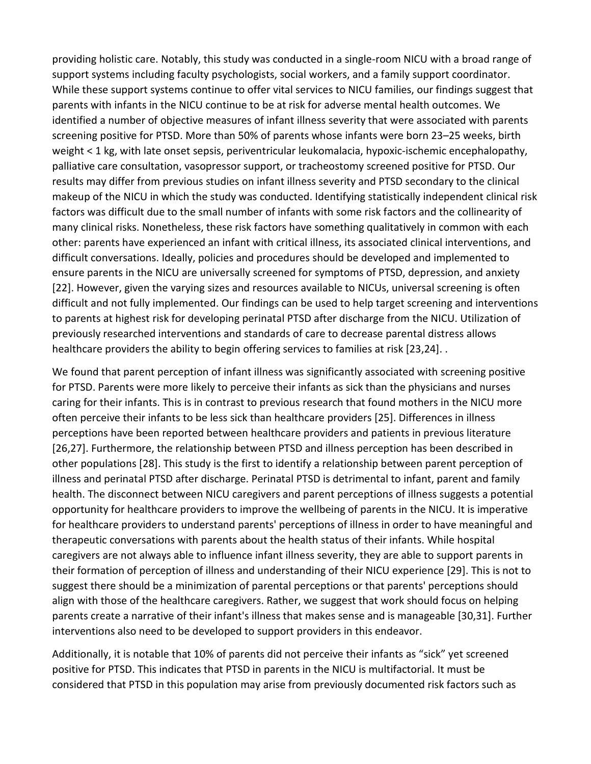providing holistic care. Notably, this study was conducted in a single-room NICU with a broad range of support systems including faculty psychologists, social workers, and a family support coordinator. While these support systems continue to offer vital services to NICU families, our findings suggest that parents with infants in the NICU continue to be at risk for adverse mental health outcomes. We identified a number of objective measures of infant illness severity that were associated with parents screening positive for PTSD. More than 50% of parents whose infants were born 23–25 weeks, birth weight < 1 kg, with late onset sepsis, periventricular leukomalacia, hypoxic-ischemic encephalopathy, palliative care consultation, vasopressor support, or tracheostomy screened positive for PTSD. Our results may differ from previous studies on infant illness severity and PTSD secondary to the clinical makeup of the NICU in which the study was conducted. Identifying statistically independent clinical risk factors was difficult due to the small number of infants with some risk factors and the collinearity of many clinical risks. Nonetheless, these risk factors have something qualitatively in common with each other: parents have experienced an infant with critical illness, its associated clinical interventions, and difficult conversations. Ideally, policies and procedures should be developed and implemented to ensure parents in the NICU are universally screened for symptoms of PTSD, depression, and anxiety [22]. However, given the varying sizes and resources available to NICUs, universal screening is often difficult and not fully implemented. Our findings can be used to help target screening and interventions to parents at highest risk for developing perinatal PTSD after discharge from the NICU. Utilization of previously researched interventions and standards of care to decrease parental distress allows healthcare providers the ability to begin offering services to families at risk [23,24]. .

We found that parent perception of infant illness was significantly associated with screening positive for PTSD. Parents were more likely to perceive their infants as sick than the physicians and nurses caring for their infants. This is in contrast to previous research that found mothers in the NICU more often perceive their infants to be less sick than healthcare providers [25]. Differences in illness perceptions have been reported between healthcare providers and patients in previous literature [26,27]. Furthermore, the relationship between PTSD and illness perception has been described in other populations [28]. This study is the first to identify a relationship between parent perception of illness and perinatal PTSD after discharge. Perinatal PTSD is detrimental to infant, parent and family health. The disconnect between NICU caregivers and parent perceptions of illness suggests a potential opportunity for healthcare providers to improve the wellbeing of parents in the NICU. It is imperative for healthcare providers to understand parents' perceptions of illness in order to have meaningful and therapeutic conversations with parents about the health status of their infants. While hospital caregivers are not always able to influence infant illness severity, they are able to support parents in their formation of perception of illness and understanding of their NICU experience [29]. This is not to suggest there should be a minimization of parental perceptions or that parents' perceptions should align with those of the healthcare caregivers. Rather, we suggest that work should focus on helping parents create a narrative of their infant's illness that makes sense and is manageable [30,31]. Further interventions also need to be developed to support providers in this endeavor.

Additionally, it is notable that 10% of parents did not perceive their infants as "sick" yet screened positive for PTSD. This indicates that PTSD in parents in the NICU is multifactorial. It must be considered that PTSD in this population may arise from previously documented risk factors such as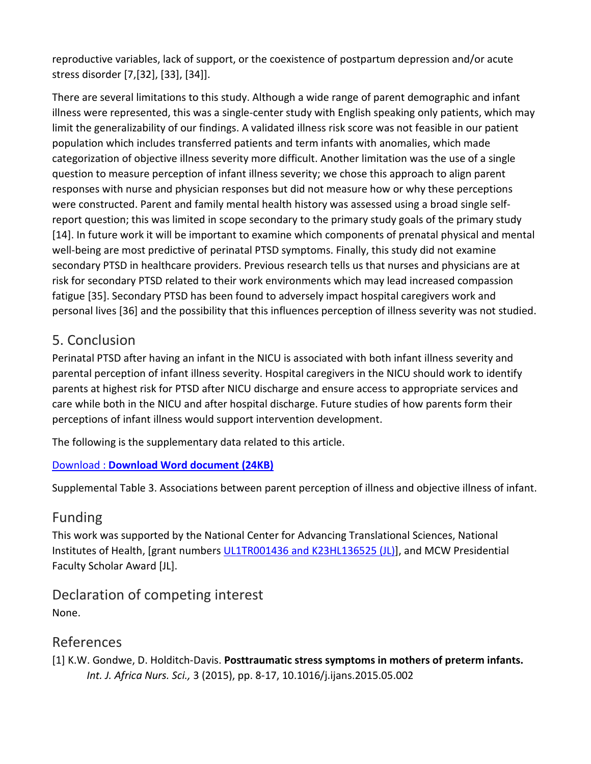reproductive variables, lack of support, or the coexistence of postpartum depression and/or acute stress disorder [7,[32], [33], [34]].

There are several limitations to this study. Although a wide range of parent demographic and infant illness were represented, this was a single-center study with English speaking only patients, which may limit the generalizability of our findings. A validated illness risk score was not feasible in our patient population which includes transferred patients and term infants with anomalies, which made categorization of objective illness severity more difficult. Another limitation was the use of a single question to measure perception of infant illness severity; we chose this approach to align parent responses with nurse and physician responses but did not measure how or why these perceptions were constructed. Parent and family mental health history was assessed using a broad single selfreport question; this was limited in scope secondary to the primary study goals of the primary study [14]. In future work it will be important to examine which components of prenatal physical and mental well-being are most predictive of perinatal PTSD symptoms. Finally, this study did not examine secondary PTSD in healthcare providers. Previous research tells us that nurses and physicians are at risk for secondary PTSD related to their work environments which may lead increased compassion fatigue [35]. Secondary PTSD has been found to adversely impact hospital caregivers work and personal lives [36] and the possibility that this influences perception of illness severity was not studied.

# 5. Conclusion

Perinatal PTSD after having an infant in the NICU is associated with both infant illness severity and parental perception of infant illness severity. Hospital caregivers in the NICU should work to identify parents at highest risk for PTSD after NICU discharge and ensure access to appropriate services and care while both in the NICU and after hospital discharge. Future studies of how parents form their perceptions of infant illness would support intervention development.

The following is the supplementary data related to this article.

#### Download : **[Download Word document \(24KB\)](https://0-ars-els--cdn-com.libus.csd.mu.edu/content/image/1-s2.0-S0378378219303676-mmc1.docx)**

Supplemental Table 3. Associations between parent perception of illness and objective illness of infant.

# Funding

This work was supported by the National Center for Advancing Translational Sciences, National Institutes of Health, [grant numbers [UL1TR001436 and K23HL136525 \(JL\)\]](https://0-www-sciencedirect-com.libus.csd.mu.edu/science/article/pii/S0378378219303676#gts0010), and MCW Presidential Faculty Scholar Award [JL].

Declaration of competing interest None.

# References

[1] K.W. Gondwe, D. Holditch-Davis. **Posttraumatic stress symptoms in mothers of preterm infants.**  *Int. J. Africa Nurs. Sci.,* 3 (2015), pp. 8-17, 10.1016/j.ijans.2015.05.002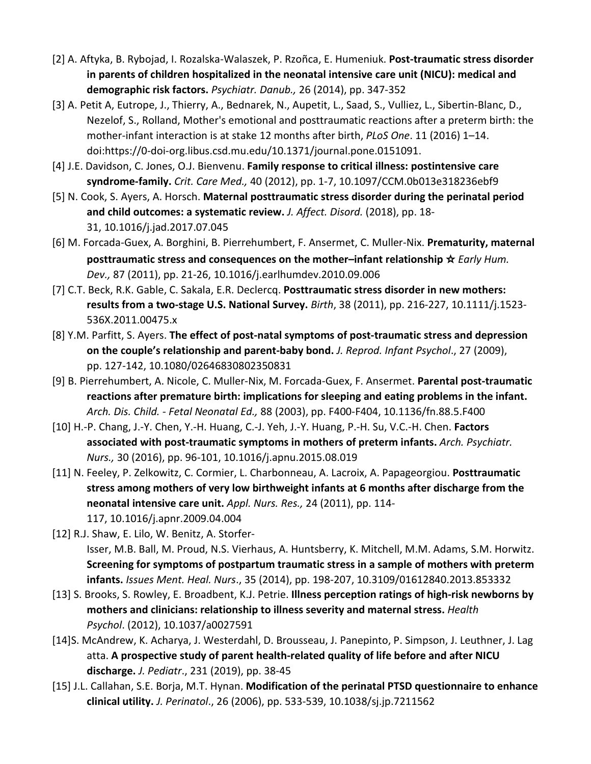- [2] A. Aftyka, B. Rybojad, I. Rozalska-Walaszek, P. Rzoñca, E. Humeniuk. **Post-traumatic stress disorder in parents of children hospitalized in the neonatal intensive care unit (NICU): medical and demographic risk factors.** *Psychiatr. Danub.,* 26 (2014), pp. 347-352
- [3] A. Petit A, Eutrope, J., Thierry, A., Bednarek, N., Aupetit, L., Saad, S., Vulliez, L., Sibertin-Blanc, D., Nezelof, S., Rolland, Mother's emotional and posttraumatic reactions after a preterm birth: the mother-infant interaction is at stake 12 months after birth, *PLoS One*. 11 (2016) 1–14. doi:https://0-doi-org.libus.csd.mu.edu/10.1371/journal.pone.0151091.
- [4] J.E. Davidson, C. Jones, O.J. Bienvenu. **Family response to critical illness: postintensive care syndrome-family.** *Crit. Care Med.,* 40 (2012), pp. 1-7, 10.1097/CCM.0b013e318236ebf9
- [5] N. Cook, S. Ayers, A. Horsch. **Maternal posttraumatic stress disorder during the perinatal period and child outcomes: a systematic review.** *J. Affect. Disord.* (2018), pp. 18- 31, 10.1016/j.jad.2017.07.045
- [6] M. Forcada-Guex, A. Borghini, B. Pierrehumbert, F. Ansermet, C. Muller-Nix. **Prematurity, maternal posttraumatic stress and consequences on the mother–infant relationship** ☆ *Early Hum. Dev.,* 87 (2011), pp. 21-26, 10.1016/j.earlhumdev.2010.09.006
- [7] C.T. Beck, R.K. Gable, C. Sakala, E.R. Declercq. **Posttraumatic stress disorder in new mothers: results from a two-stage U.S. National Survey.** *Birth*, 38 (2011), pp. 216-227, 10.1111/j.1523- 536X.2011.00475.x
- [8] Y.M. Parfitt, S. Ayers. **The effect of post-natal symptoms of post-traumatic stress and depression on the couple's relationship and parent-baby bond.** *J. Reprod. Infant Psychol*., 27 (2009), pp. 127-142, 10.1080/02646830802350831
- [9] B. Pierrehumbert, A. Nicole, C. Muller-Nix, M. Forcada-Guex, F. Ansermet. **Parental post-traumatic reactions after premature birth: implications for sleeping and eating problems in the infant.**  *Arch. Dis. Child. - Fetal Neonatal Ed.,* 88 (2003), pp. F400-F404, 10.1136/fn.88.5.F400
- [10] H.-P. Chang, J.-Y. Chen, Y.-H. Huang, C.-J. Yeh, J.-Y. Huang, P.-H. Su, V.C.-H. Chen. **Factors associated with post-traumatic symptoms in mothers of preterm infants.** *Arch. Psychiatr. Nurs.,* 30 (2016), pp. 96-101, 10.1016/j.apnu.2015.08.019
- [11] N. Feeley, P. Zelkowitz, C. Cormier, L. Charbonneau, A. Lacroix, A. Papageorgiou. **Posttraumatic stress among mothers of very low birthweight infants at 6 months after discharge from the neonatal intensive care unit.** *Appl. Nurs. Res.,* 24 (2011), pp. 114- 117, 10.1016/j.apnr.2009.04.004
- [12] R.J. Shaw, E. Lilo, W. Benitz, A. Storfer-Isser, M.B. Ball, M. Proud, N.S. Vierhaus, A. Huntsberry, K. Mitchell, M.M. Adams, S.M. Horwitz. **Screening for symptoms of postpartum traumatic stress in a sample of mothers with preterm infants.** *Issues Ment. Heal. Nurs*., 35 (2014), pp. 198-207, 10.3109/01612840.2013.853332
- [13] S. Brooks, S. Rowley, E. Broadbent, K.J. Petrie. **Illness perception ratings of high-risk newborns by mothers and clinicians: relationship to illness severity and maternal stress.** *Health Psychol*. (2012), 10.1037/a0027591
- [14]S. McAndrew, K. Acharya, J. Westerdahl, D. Brousseau, J. Panepinto, P. Simpson, J. Leuthner, J. Lag atta. **A prospective study of parent health-related quality of life before and after NICU discharge.** *J. Pediatr*., 231 (2019), pp. 38-45
- [15] J.L. Callahan, S.E. Borja, M.T. Hynan. **Modification of the perinatal PTSD questionnaire to enhance clinical utility.** *J. Perinatol*., 26 (2006), pp. 533-539, 10.1038/sj.jp.7211562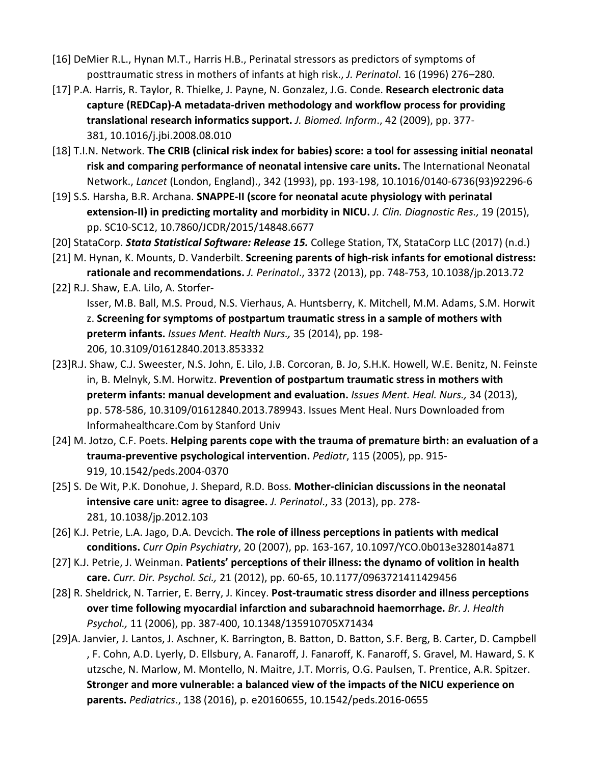- [16] DeMier R.L., Hynan M.T., Harris H.B., Perinatal stressors as predictors of symptoms of posttraumatic stress in mothers of infants at high risk., *J. Perinatol*. 16 (1996) 276–280.
- [17] P.A. Harris, R. Taylor, R. Thielke, J. Payne, N. Gonzalez, J.G. Conde. **Research electronic data capture (REDCap)-A metadata-driven methodology and workflow process for providing translational research informatics support.** *J. Biomed. Inform*., 42 (2009), pp. 377- 381, 10.1016/j.jbi.2008.08.010
- [18] T.I.N. Network. **The CRIB (clinical risk index for babies) score: a tool for assessing initial neonatal risk and comparing performance of neonatal intensive care units.** The International Neonatal Network., *Lancet* (London, England)., 342 (1993), pp. 193-198, 10.1016/0140-6736(93)92296-6
- [19] S.S. Harsha, B.R. Archana. **SNAPPE-II (score for neonatal acute physiology with perinatal extension-II) in predicting mortality and morbidity in NICU.** *J. Clin. Diagnostic Res.,* 19 (2015), pp. SC10-SC12, 10.7860/JCDR/2015/14848.6677
- [20] StataCorp. *Stata Statistical Software: Release 15.* College Station, TX, StataCorp LLC (2017) (n.d.)
- [21] M. Hynan, K. Mounts, D. Vanderbilt. **Screening parents of high-risk infants for emotional distress: rationale and recommendations.** *J. Perinatol*., 3372 (2013), pp. 748-753, 10.1038/jp.2013.72
- [22] R.J. Shaw, E.A. Lilo, A. Storfer-Isser, M.B. Ball, M.S. Proud, N.S. Vierhaus, A. Huntsberry, K. Mitchell, M.M. Adams, S.M. Horwit z. **Screening for symptoms of postpartum traumatic stress in a sample of mothers with preterm infants.** *Issues Ment. Health Nurs.,* 35 (2014), pp. 198- 206, 10.3109/01612840.2013.853332
- [23]R.J. Shaw, C.J. Sweester, N.S. John, E. Lilo, J.B. Corcoran, B. Jo, S.H.K. Howell, W.E. Benitz, N. Feinste in, B. Melnyk, S.M. Horwitz. **Prevention of postpartum traumatic stress in mothers with preterm infants: manual development and evaluation.** *Issues Ment. Heal. Nurs.,* 34 (2013), pp. 578-586, 10.3109/01612840.2013.789943. Issues Ment Heal. Nurs Downloaded from Informahealthcare.Com by Stanford Univ
- [24] M. Jotzo, C.F. Poets. **Helping parents cope with the trauma of premature birth: an evaluation of a trauma-preventive psychological intervention.** *Pediatr*, 115 (2005), pp. 915- 919, 10.1542/peds.2004-0370
- [25] S. De Wit, P.K. Donohue, J. Shepard, R.D. Boss. **Mother-clinician discussions in the neonatal intensive care unit: agree to disagree.** *J. Perinatol*., 33 (2013), pp. 278- 281, 10.1038/jp.2012.103
- [26] K.J. Petrie, L.A. Jago, D.A. Devcich. **The role of illness perceptions in patients with medical conditions.** *Curr Opin Psychiatry*, 20 (2007), pp. 163-167, 10.1097/YCO.0b013e328014a871
- [27] K.J. Petrie, J. Weinman. **Patients' perceptions of their illness: the dynamo of volition in health care.** *Curr. Dir. Psychol. Sci.,* 21 (2012), pp. 60-65, 10.1177/0963721411429456
- [28] R. Sheldrick, N. Tarrier, E. Berry, J. Kincey. **Post-traumatic stress disorder and illness perceptions over time following myocardial infarction and subarachnoid haemorrhage.** *Br. J. Health Psychol.,* 11 (2006), pp. 387-400, 10.1348/135910705X71434
- [29]A. Janvier, J. Lantos, J. Aschner, K. Barrington, B. Batton, D. Batton, S.F. Berg, B. Carter, D. Campbell , F. Cohn, A.D. Lyerly, D. Ellsbury, A. Fanaroff, J. Fanaroff, K. Fanaroff, S. Gravel, M. Haward, S. K utzsche, N. Marlow, M. Montello, N. Maitre, J.T. Morris, O.G. Paulsen, T. Prentice, A.R. Spitzer. **Stronger and more vulnerable: a balanced view of the impacts of the NICU experience on parents.** *Pediatrics*., 138 (2016), p. e20160655, 10.1542/peds.2016-0655